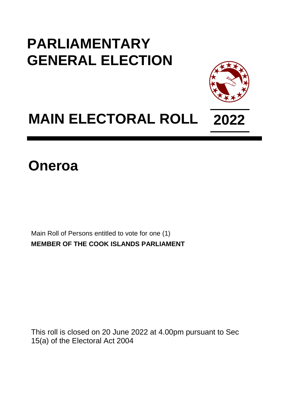## **PARLIAMENTARY GENERAL ELECTION**



## **MAIN ELECTORAL ROLL 2022**

**Oneroa**

Main Roll of Persons entitled to vote for one (1) **MEMBER OF THE COOK ISLANDS PARLIAMENT**

This roll is closed on 20 June 2022 at 4.00pm pursuant to Sec 15(a) of the Electoral Act 2004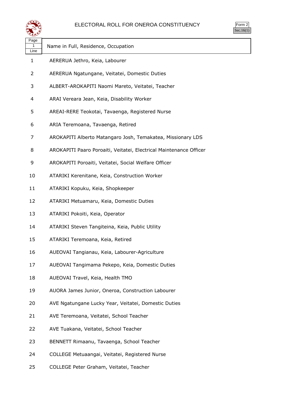

| $rac{1}{2}$<br>⊵ |  |
|------------------|--|
| า เ              |  |

| Page<br>1<br>Line | Name in Full, Residence, Occupation                                |
|-------------------|--------------------------------------------------------------------|
| 1                 | AERERUA Jethro, Keia, Labourer                                     |
| 2                 | AERERUA Ngatungane, Veitatei, Domestic Duties                      |
| 3                 | ALBERT-AROKAPITI Naomi Mareto, Veitatei, Teacher                   |
| 4                 | ARAI Vereara Jean, Keia, Disability Worker                         |
| 5                 | AREAI-RERE Teokotai, Tavaenga, Registered Nurse                    |
| 6                 | ARIA Teremoana, Tavaenga, Retired                                  |
| 7                 | AROKAPITI Alberto Matangaro Josh, Temakatea, Missionary LDS        |
| 8                 | AROKAPITI Paaro Poroaiti, Veitatei, Electrical Maintenance Officer |
| 9                 | AROKAPITI Poroaiti, Veitatei, Social Welfare Officer               |
| 10                | ATARIKI Kerenitane, Keia, Construction Worker                      |
| 11                | ATARIKI Kopuku, Keia, Shopkeeper                                   |
| 12                | ATARIKI Metuamaru, Keia, Domestic Duties                           |
| 13                | ATARIKI Pokoiti, Keia, Operator                                    |
| 14                | ATARIKI Steven Tangiteina, Keia, Public Utility                    |
| 15                | ATARIKI Teremoana, Keia, Retired                                   |
| 16                | AUEOVAI Tangianau, Keia, Labourer-Agriculture                      |
| 17                | AUEOVAI Tangimama Pekepo, Keia, Domestic Duties                    |
| 18                | AUEOVAI Travel, Keia, Health TMO                                   |
| 19                | AUORA James Junior, Oneroa, Construction Labourer                  |
| 20                | AVE Ngatungane Lucky Year, Veitatei, Domestic Duties               |
| 21                | AVE Teremoana, Veitatei, School Teacher                            |
| 22                | AVE Tuakana, Veitatei, School Teacher                              |
| 23                | BENNETT Rimaanu, Tavaenga, School Teacher                          |
| 24                | COLLEGE Metuaangai, Veitatei, Registered Nurse                     |

COLLEGE Peter Graham, Veitatei, Teacher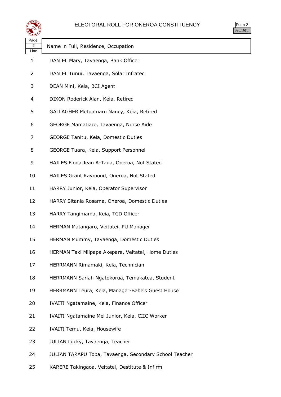

| ırm<br>u |  |
|----------|--|
|          |  |

| Page<br>2<br>Line | Name in Full, Residence, Occupation                    |
|-------------------|--------------------------------------------------------|
| 1                 | DANIEL Mary, Tavaenga, Bank Officer                    |
| 2                 | DANIEL Tunui, Tavaenga, Solar Infratec                 |
| 3                 | DEAN Mini, Keia, BCI Agent                             |
| 4                 | DIXON Roderick Alan, Keia, Retired                     |
| 5                 | GALLAGHER Metuamaru Nancy, Keia, Retired               |
| 6                 | GEORGE Mamatiare, Tavaenga, Nurse Aide                 |
| 7                 | GEORGE Tanitu, Keia, Domestic Duties                   |
| 8                 | GEORGE Tuara, Keia, Support Personnel                  |
| 9                 | HAILES Fiona Jean A-Taua, Oneroa, Not Stated           |
| 10                | HAILES Grant Raymond, Oneroa, Not Stated               |
| 11                | HARRY Junior, Keia, Operator Supervisor                |
| 12                | HARRY Sitania Rosama, Oneroa, Domestic Duties          |
| 13                | HARRY Tangimama, Keia, TCD Officer                     |
| 14                | HERMAN Matangaro, Veitatei, PU Manager                 |
| 15                | HERMAN Mummy, Tavaenga, Domestic Duties                |
| 16                | HERMAN Taki Miipapa Akepare, Veitatei, Home Duties     |
| 17                | HERRMANN Rimamaki, Keia, Technician                    |
| 18                | HERRMANN Sariah Ngatokorua, Temakatea, Student         |
| 19                | HERRMANN Teura, Keia, Manager-Babe's Guest House       |
| 20                | IVAITI Ngatamaine, Keia, Finance Officer               |
| 21                | IVAITI Ngatamaine Mel Junior, Keia, CIIC Worker        |
| 22                | IVAITI Temu, Keia, Housewife                           |
| 23                | JULIAN Lucky, Tavaenga, Teacher                        |
| 24                | JULIAN TARAPU Topa, Tavaenga, Secondary School Teacher |

KARERE Takingaoa, Veitatei, Destitute & Infirm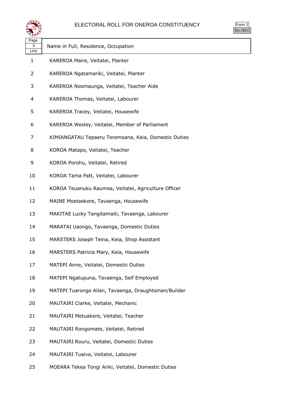

| orm<br>╯ |
|----------|
| ٠ ا      |

ヿ

| પ⊷                |                                                      |
|-------------------|------------------------------------------------------|
| Page<br>3<br>Line | Name in Full, Residence, Occupation                  |
| $\mathbf{1}$      | KAREROA Maire, Veitatei, Planter                     |
| $\overline{2}$    | KAREROA Ngatamariki, Veitatei, Planter               |
| 3                 | KAREROA Noomaunga, Veitatei, Teacher Aide            |
| 4                 | KAREROA Thomas, Veitatei, Labourer                   |
| 5                 | KAREROA Tracey, Veitatei, Housewife                  |
| 6                 | KAREROA Wesley, Veitatei, Member of Parliament       |
| 7                 | KIMIANGATAU Tepaeru Teremoana, Keia, Domestic Duties |
| 8                 | KOROA Matapo, Veitatei, Teacher                      |
| 9                 | KOROA Porohu, Veitatei, Retired                      |
| 10                | KOROA Tama Patt, Veitatei, Labourer                  |
| 11                | KOROA Teuanuku Raumea, Veitatei, Agriculture Officer |
| 12                | MAINE Moetaekore, Tavaenga, Housewife                |
| 13                | MAKITAE Lucky Tangitamaiti, Tavaenga, Labourer       |
| 14                | MARATAI Uaongo, Tavaenga, Domestic Duties            |
| 15                | MARSTERS Joseph Teina, Keia, Shop Assistant          |
| 16                | MARSTERS Patricia Mary, Keia, Housewife              |
| 17                | MATEPI Anne, Veitatei, Domestic Duties               |
| 18                | MATEPI Ngatupuna, Tavaenga, Self Employed            |
| 19                | MATEPI Tuarongo Allan, Tavaenga, Draughtsman/Builder |
| 20                | MAUTAIRI Clarke, Veitatei, Mechanic                  |
| 21                | MAUTAIRI Metuakore, Veitatei, Teacher                |
| 22                | MAUTAIRI Rongomate, Veitatei, Retired                |
| 23                | MAUTAIRI Rouru, Veitatei, Domestic Duties            |
| 24                | MAUTAIRI Tuaiva, Veitatei, Labourer                  |

MOEARA Tekea Tongi Ariki, Veitatei, Domestic Duties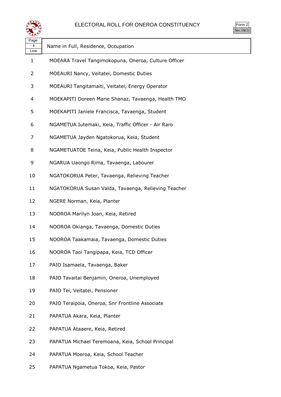

Form 2  $\frac{1}{\text{Sec.16(1)}}$ 

| Page<br>4<br>Line | Name in Full, Residence, Occupation                  |
|-------------------|------------------------------------------------------|
| 1                 | MOEARA Travel Tangimokopuna, Oneroa, Culture Officer |
| 2                 | MOEAURI Nancy, Veitatei, Domestic Duties             |
| 3                 | MOEAURI Tangitamaiti, Veitatei, Energy Operator      |
| 4                 | MOEKAPITI Doreen Marie Shanaz, Tavaenga, Health TMO  |
| 5                 | MOEKAPITI Janiele Francisca, Tavaenga, Student       |
| 6                 | NGAMETUA Iutemaki, Keia, Traffic Officer - Air Raro  |
| 7                 | NGAMETUA Jayden Ngatokorua, Keia, Student            |
| 8                 | NGAMETUATOE Teina, Keia, Public Health Inspector     |
| 9                 | NGARUA Uaongo Rima, Tavaenga, Labourer               |
| 10                | NGATOKORUA Peter, Tavaenga, Relieving Teacher        |
| 11                | NGATOKORUA Susan Valda, Tavaenga, Relieving Teacher  |
| 12                | NGERE Norman, Keia, Planter                          |
| 13                | NOOROA Marilyn Joan, Keia, Retired                   |
| 14                | NOOROA Okianga, Tavaenga, Domestic Duties            |
| 15                | NOOROA Taakamaia, Tavaenga, Domestic Duties          |
| 16                | NOOROA Taoi Tangipapa, Keia, TCD Officer             |
| 17                | PAIO Isamaela, Tavaenga, Baker                       |
| 18                | PAIO Tavaitai Benjamin, Oneroa, Unemployed           |
| 19                | PAIO Tei, Veitatei, Pensioner                        |
| 20                | PAIO Teraipoia, Oneroa, Snr Frontline Associate      |
| 21                | PAPATUA Akara, Keia, Planter                         |
| 22                | PAPATUA Ataaere, Keia, Retired                       |
| 23                | PAPATUA Michael Teremoana, Keia, School Principal    |
| 24                | PAPATUA Moeroa, Keia, School Teacher                 |
|                   |                                                      |

PAPATUA Ngametua Tokoa, Keia, Pastor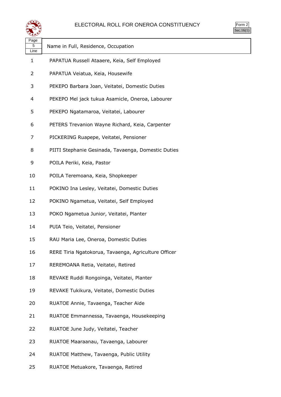

| ırm<br>u |  |
|----------|--|
|          |  |

| ---<br>Page<br>5     | Name in Full, Residence, Occupation                  |
|----------------------|------------------------------------------------------|
| Line<br>$\mathbf{1}$ | PAPATUA Russell Ataaere, Keia, Self Employed         |
| 2                    | PAPATUA Veiatua, Keia, Housewife                     |
|                      |                                                      |
| 3                    | PEKEPO Barbara Joan, Veitatei, Domestic Duties       |
| 4                    | PEKEPO Mel jack tukua Asamicle, Oneroa, Labourer     |
| 5                    | PEKEPO Ngatamaroa, Veitatei, Labourer                |
| 6                    | PETERS Trevanion Wayne Richard, Keia, Carpenter      |
| 7                    | PICKERING Ruapepe, Veitatei, Pensioner               |
| 8                    | PIITI Stephanie Gesinada, Tavaenga, Domestic Duties  |
| 9                    | POILA Periki, Keia, Pastor                           |
| 10                   | POILA Teremoana, Keia, Shopkeeper                    |
| 11                   | POKINO Ina Lesley, Veitatei, Domestic Duties         |
| 12                   | POKINO Ngametua, Veitatei, Self Employed             |
| 13                   | POKO Ngametua Junior, Veitatei, Planter              |
| 14                   | PUIA Teio, Veitatei, Pensioner                       |
| 15                   | RAU Maria Lee, Oneroa, Domestic Duties               |
| 16                   | RERE Tiria Ngatokorua, Tavaenga, Agriculture Officer |
| 17                   | REREMOANA Retia, Veitatei, Retired                   |
| 18                   | REVAKE Ruddi Rongoinga, Veitatei, Planter            |
| 19                   | REVAKE Tukikura, Veitatei, Domestic Duties           |
| 20                   | RUATOE Annie, Tavaenga, Teacher Aide                 |
| 21                   | RUATOE Emmannessa, Tavaenga, Housekeeping            |
| 22                   | RUATOE June Judy, Veitatei, Teacher                  |
| 23                   | RUATOE Maaraanau, Tavaenga, Labourer                 |
| 24                   | RUATOE Matthew, Tavaenga, Public Utility             |

RUATOE Metuakore, Tavaenga, Retired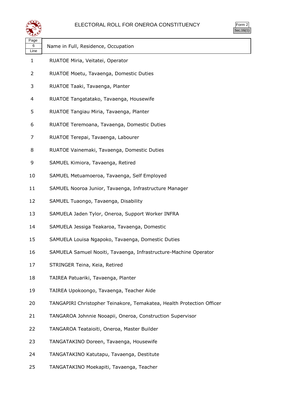

| $\mathsf{m}$ |  |
|--------------|--|
| v.           |  |

| ∽                 |                                                                       |
|-------------------|-----------------------------------------------------------------------|
| Page<br>6<br>Line | Name in Full, Residence, Occupation                                   |
| $\mathbf{1}$      | RUATOE Miria, Veitatei, Operator                                      |
| $\overline{2}$    | RUATOE Moetu, Tavaenga, Domestic Duties                               |
| 3                 | RUATOE Taaki, Tavaenga, Planter                                       |
| 4                 | RUATOE Tangatatako, Tavaenga, Housewife                               |
| 5                 | RUATOE Tangiau Miria, Tavaenga, Planter                               |
| 6                 | RUATOE Teremoana, Tavaenga, Domestic Duties                           |
| 7                 | RUATOE Terepai, Tavaenga, Labourer                                    |
| 8                 | RUATOE Vainemaki, Tavaenga, Domestic Duties                           |
| 9                 | SAMUEL Kimiora, Tavaenga, Retired                                     |
| 10                | SAMUEL Metuamoeroa, Tavaenga, Self Employed                           |
| 11                | SAMUEL Nooroa Junior, Tavaenga, Infrastructure Manager                |
| 12                | SAMUEL Tuaongo, Tavaenga, Disability                                  |
| 13                | SAMUELA Jaden Tylor, Oneroa, Support Worker INFRA                     |
| 14                | SAMUELA Jessiga Teakaroa, Tavaenga, Domestic                          |
| 15                | SAMUELA Louisa Ngapoko, Tavaenga, Domestic Duties                     |
| 16                | SAMUELA Samuel Nooiti, Tavaenga, Infrastructure-Machine Operator      |
| 17                | STRINGER Teina, Keia, Retired                                         |
| 18                | TAIREA Patuariki, Tavaenga, Planter                                   |
| 19                | TAIREA Upokoongo, Tavaenga, Teacher Aide                              |
| 20                | TANGAPIRI Christopher Teinakore, Temakatea, Health Protection Officer |
| 21                | TANGAROA Johnnie Nooapii, Oneroa, Construction Supervisor             |
| 22                | TANGAROA Teataioiti, Oneroa, Master Builder                           |
| 23                | TANGATAKINO Doreen, Tavaenga, Housewife                               |
| 24                | TANGATAKINO Katutapu, Tavaenga, Destitute                             |

TANGATAKINO Moekapiti, Tavaenga, Teacher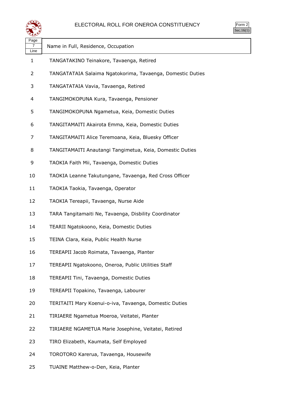

Form 2 Sec.16(1)

| Page<br>7<br>Line | Name in Full, Residence, Occupation                        |
|-------------------|------------------------------------------------------------|
| 1                 | TANGATAKINO Teinakore, Tavaenga, Retired                   |
| 2                 | TANGATATAIA Salaima Ngatokorima, Tavaenga, Domestic Duties |
| 3                 | TANGATATAIA Vavia, Tavaenga, Retired                       |
| 4                 | TANGIMOKOPUNA Kura, Tavaenga, Pensioner                    |
| 5                 | TANGIMOKOPUNA Ngametua, Keia, Domestic Duties              |
| 6                 | TANGITAMAITI Akairota Emma, Keia, Domestic Duties          |
| 7                 | TANGITAMAITI Alice Teremoana, Keia, Bluesky Officer        |
| 8                 | TANGITAMAITI Anautangi Tangimetua, Keia, Domestic Duties   |
| 9                 | TAOKIA Faith Mii, Tavaenga, Domestic Duties                |
| 10                | TAOKIA Leanne Takutungane, Tavaenga, Red Cross Officer     |
| 11                | TAOKIA Taokia, Tavaenga, Operator                          |
| 12                | TAOKIA Tereapii, Tavaenga, Nurse Aide                      |
| 13                | TARA Tangitamaiti Ne, Tavaenga, Disbility Coordinator      |
| 14                | TEARII Ngatokoono, Keia, Domestic Duties                   |
| 15                | TEINA Clara, Keia, Public Health Nurse                     |
| 16                | TEREAPII Jacob Roimata, Tavaenga, Planter                  |
| 17                | TEREAPII Ngatokoono, Oneroa, Public Utilities Staff        |
| 18                | TEREAPII Tini, Tavaenga, Domestic Duties                   |
| 19                | TEREAPII Topakino, Tavaenga, Labourer                      |
| 20                | TERITAITI Mary Koenui-o-iva, Tavaenga, Domestic Duties     |
| 21                | TIRIAERE Ngametua Moeroa, Veitatei, Planter                |
| 22                | TIRIAERE NGAMETUA Marie Josephine, Veitatei, Retired       |
| 23                | TIRO Elizabeth, Kaumata, Self Employed                     |
| 24                | TOROTORO Karerua, Tavaenga, Housewife                      |
|                   |                                                            |

TUAINE Matthew-o-Den, Keia, Planter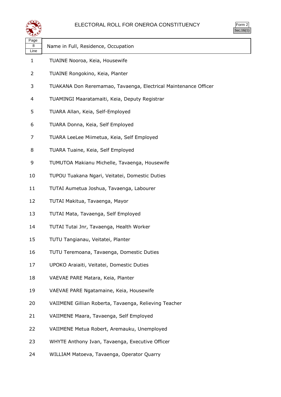

Form 2  $Sec.16(1)$ 

| Page<br>8<br>Line | Name in Full, Residence, Occupation                             |  |
|-------------------|-----------------------------------------------------------------|--|
| $\mathbf{1}$      | TUAINE Nooroa, Keia, Housewife                                  |  |
| 2                 | TUAINE Rongokino, Keia, Planter                                 |  |
| 3                 | TUAKANA Don Reremamao, Tavaenga, Electrical Maintenance Officer |  |
| 4                 | TUAMINGI Maaratamaiti, Keia, Deputy Registrar                   |  |
| 5                 | TUARA Allan, Keia, Self-Employed                                |  |
| 6                 | TUARA Donna, Keia, Self Employed                                |  |
| 7                 | TUARA LeeLee Miimetua, Keia, Self Employed                      |  |
| 8                 | TUARA Tuaine, Keia, Self Employed                               |  |
| 9                 | TUMUTOA Makianu Michelle, Tavaenga, Housewife                   |  |
| 10                | TUPOU Tuakana Ngari, Veitatei, Domestic Duties                  |  |
| 11                | TUTAI Aumetua Joshua, Tavaenga, Labourer                        |  |
| 12                | TUTAI Makitua, Tavaenga, Mayor                                  |  |
| 13                | TUTAI Mata, Tavaenga, Self Employed                             |  |
| 14                | TUTAI Tutai Jnr, Tavaenga, Health Worker                        |  |
| 15                | TUTU Tangianau, Veitatei, Planter                               |  |
| 16                | TUTU Teremoana, Tavaenga, Domestic Duties                       |  |
| 17                | UPOKO Araiaiti, Veitatei, Domestic Duties                       |  |
| 18                | VAEVAE PARE Matara, Keia, Planter                               |  |
| 19                | VAEVAE PARE Ngatamaine, Keia, Housewife                         |  |
| 20                | VAIIMENE Gillian Roberta, Tavaenga, Relieving Teacher           |  |
| 21                | VAIIMENE Maara, Tavaenga, Self Employed                         |  |
| 22                | VAIIMENE Metua Robert, Aremauku, Unemployed                     |  |
| 23                | WHYTE Anthony Ivan, Tavaenga, Executive Officer                 |  |
| 24                | WILLIAM Matoeva, Tavaenga, Operator Quarry                      |  |